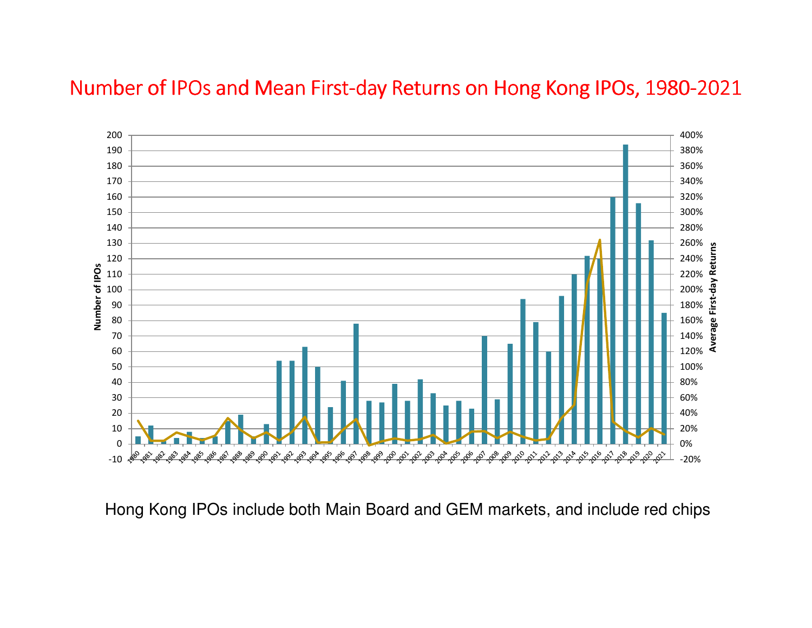## Number of IPOs and Mean First-day Returns on Hong Kong IPOs, 1980-2021



Hong Kong IPOs include both Main Board and GEM markets, and include red chips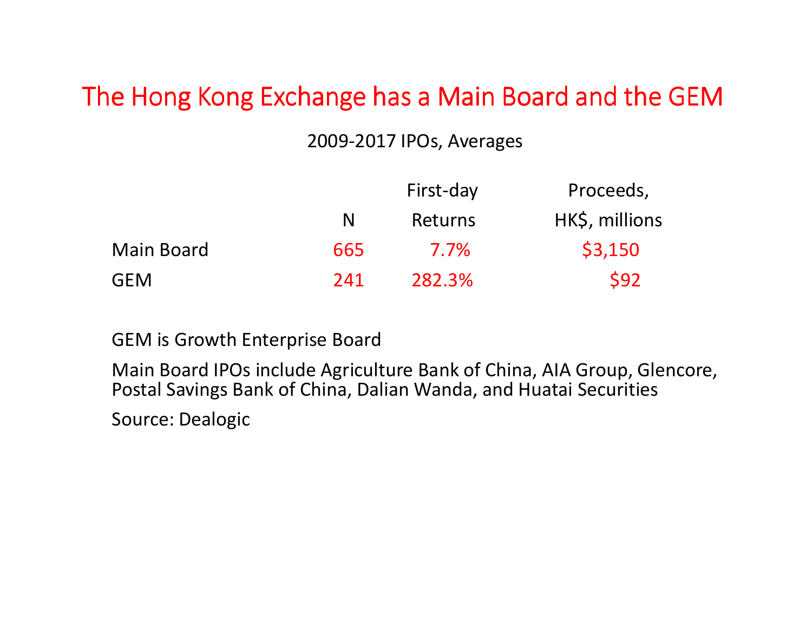## The Hong Kong Exchange has a Main Board and the GEM

## 2009-2017 IPOs, Averages

|     | First-day | Proceeds,      |
|-----|-----------|----------------|
| N   | Returns   | HK\$, millions |
| 665 | 7.7%      | \$3,150        |
| 241 | 282.3%    | <b>\$92</b>    |
|     |           |                |

GEM is Growth Enterprise Board

Main Board IPOs include Agriculture Bank of China, AIA Group, Glencore, Postal Savings Bank of China, Dalian Wanda, and Huatai Securities

Source: Dealogic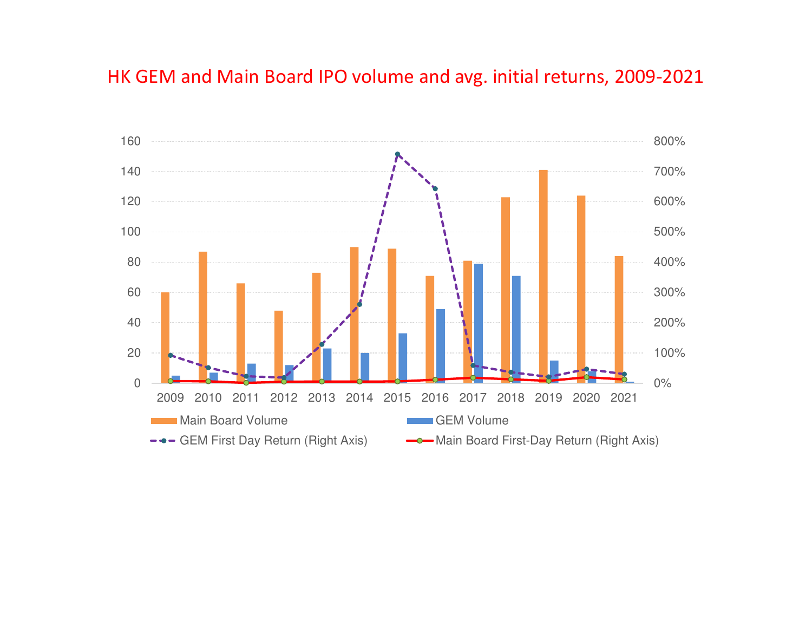## HK GEM and Main Board IPO volume and avg. initial returns, 2009-2021